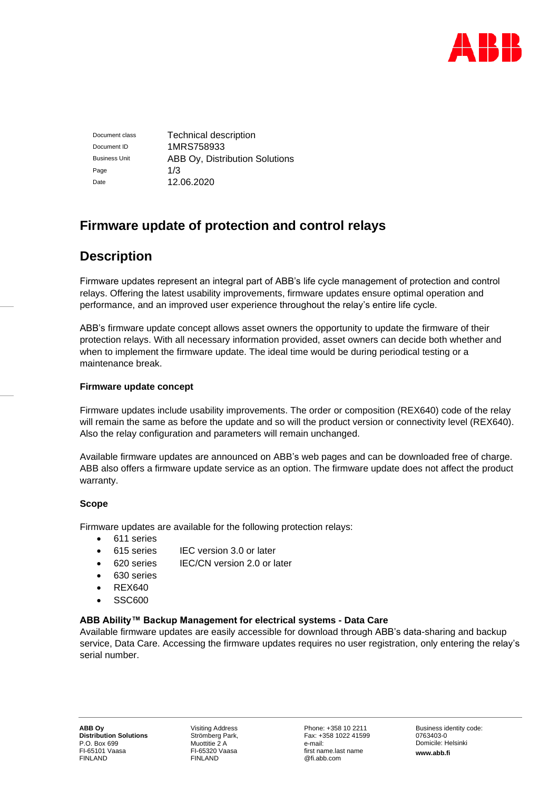

Document class **Technical description** Document ID 1MRS758933 Business Unit **ABB Oy, Distribution Solutions** Page  $1/3$ Date 12.06.2020

# **Firmware update of protection and control relays**

# **Description**

Firmware updates represent an integral part of ABB's life cycle management of protection and control relays. Offering the latest usability improvements, firmware updates ensure optimal operation and performance, and an improved user experience throughout the relay's entire life cycle.

ABB's firmware update concept allows asset owners the opportunity to update the firmware of their protection relays. With all necessary information provided, asset owners can decide both whether and when to implement the firmware update. The ideal time would be during periodical testing or a maintenance break.

### **Firmware update concept**

Firmware updates include usability improvements. The order or composition (REX640) code of the relay will remain the same as before the update and so will the product version or connectivity level (REX640). Also the relay configuration and parameters will remain unchanged.

Available firmware updates are announced on ABB's web pages and can be downloaded free of charge. ABB also offers a firmware update service as an option. The firmware update does not affect the product warranty.

## **Scope**

Firmware updates are available for the following protection relays:

- 611 series
- 615 series IEC version 3.0 or later
- 620 series IEC/CN version 2.0 or later
- 630 series
- REX640
- SSC600

## **ABB Ability™ Backup Management for electrical systems - Data Care**

Available firmware updates are easily accessible for download through ABB's data-sharing and backup service, Data Care. Accessing the firmware updates requires no user registration, only entering the relay's serial number.

Visiting Address Strömberg Park, Muottitie 2 A FI-65320 Vaasa FINLAND

Phone: +358 10 2211 Fax: +358 1022 41599 e-mail: first name.last name @fi.abb.com

Business identity code: 0763403-0 Domicile: Helsinki **www.abb.fi**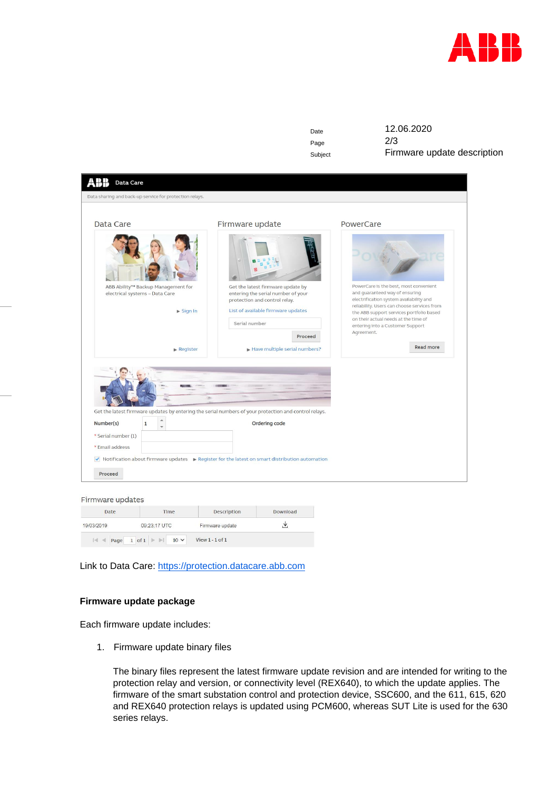

| Date |  |
|------|--|
| Page |  |
|      |  |

12.06.2020  $2/3$ Subject **Firmware update description** 

| Data sharing and back-up service for protection relays.                                               |                                                                                                                                                                 |                                                                                                                                                                                                                                                                                                          |
|-------------------------------------------------------------------------------------------------------|-----------------------------------------------------------------------------------------------------------------------------------------------------------------|----------------------------------------------------------------------------------------------------------------------------------------------------------------------------------------------------------------------------------------------------------------------------------------------------------|
| Data Care                                                                                             | Firmware update                                                                                                                                                 | PowerCare                                                                                                                                                                                                                                                                                                |
| ABB Ability™ Backup Management for<br>electrical systems - Data Care<br>$\blacktriangleright$ Sign In | Get the latest firmware update by<br>entering the serial number of your<br>protection and control relay.<br>List of available firmware updates<br>Serial number | PowerCare is the best, most convenient<br>and guaranteed way of ensuring<br>electrification system availability and<br>reliability. Users can choose services from<br>the ABB support services portfolio based<br>on their actual needs at the time of<br>entering into a Customer Support<br>Agreement. |
| $\blacktriangleright$ Register                                                                        | Proceed<br>Have multiple serial numbers?                                                                                                                        | <b>Read more</b>                                                                                                                                                                                                                                                                                         |
| $\blacktriangle$<br>Number(s)<br>$\mathbf{1}$<br>$\overline{\phantom{a}}$                             | in.<br>Get the latest firmware updates by entering the serial numbers of your protection and control relays.<br>Ordering code                                   |                                                                                                                                                                                                                                                                                                          |
| * Serial number (1)<br>* Email address                                                                |                                                                                                                                                                 |                                                                                                                                                                                                                                                                                                          |
|                                                                                                       | √ Notification about firmware updates → Register for the latest on smart distribution automation                                                                |                                                                                                                                                                                                                                                                                                          |

#### Firmware updates

| Date       | Time                              | Description         | Download |
|------------|-----------------------------------|---------------------|----------|
| 19/03/2019 | 09:23:17 UTC                      | Firmware update     |          |
| 4 <br>Page | $10 \vee$<br>$1$ of $1 \geqslant$ | View $1 - 1$ of $1$ |          |

Link to Data Care: [https://protection.datacare.abb.com](https://protection.datacare.abb.com/)

#### **Firmware update package**

Each firmware update includes:

1. Firmware update binary files

The binary files represent the latest firmware update revision and are intended for writing to the protection relay and version, or connectivity level (REX640), to which the update applies. The firmware of the smart substation control and protection device, SSC600, and the 611, 615, 620 and REX640 protection relays is updated using PCM600, whereas SUT Lite is used for the 630 series relays.